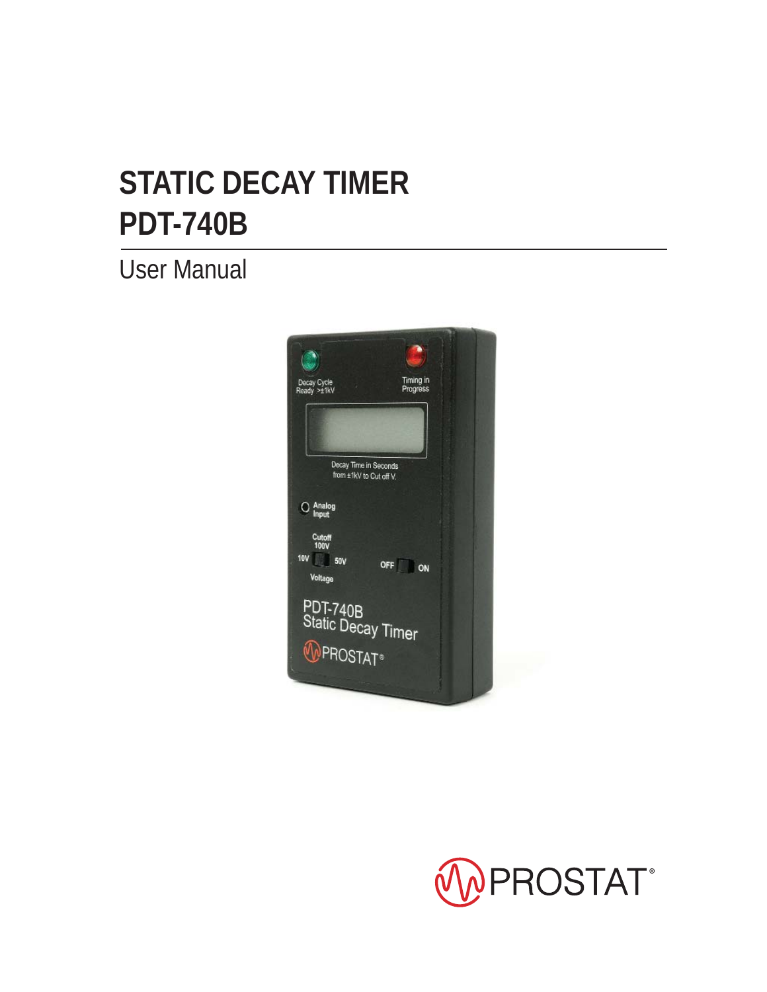# **PDT-740B STATIC DECAY TIMER**

User Manual



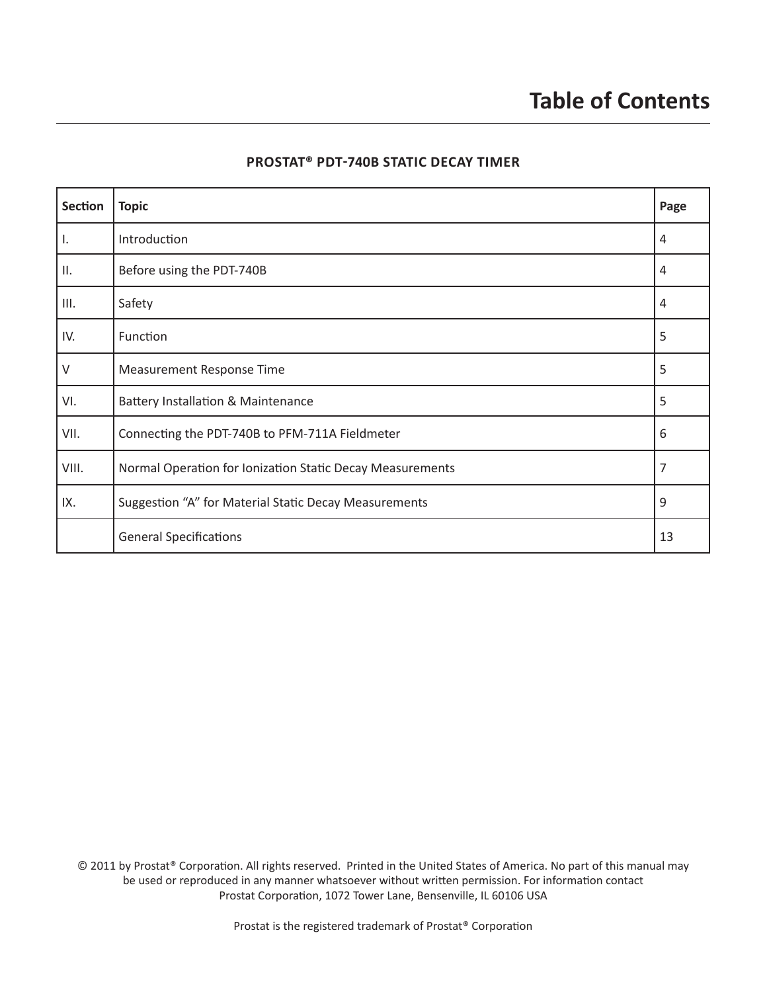| <b>Section</b> | <b>Topic</b>                                              | Page           |
|----------------|-----------------------------------------------------------|----------------|
| Π.             | Introduction                                              | $\overline{4}$ |
| H.             | Before using the PDT-740B                                 | 4              |
| III.           | Safety                                                    | 4              |
| IV.            | Function                                                  | 5              |
| $\vee$         | Measurement Response Time                                 | 5              |
| VI.            | <b>Battery Installation &amp; Maintenance</b>             | 5              |
| VII.           | Connecting the PDT-740B to PFM-711A Fieldmeter            | 6              |
| VIII.          | Normal Operation for Ionization Static Decay Measurements | 7              |
| IX.            | Suggestion "A" for Material Static Decay Measurements     | 9              |
|                | <b>General Specifications</b>                             | 13             |

#### **PROSTAT® PDT-740B STATIC DECAY TIMER**

© 2011 by Prostat® Corporation. All rights reserved. Printed in the United States of America. No part of this manual may be used or reproduced in any manner whatsoever without written permission. For information contact Prostat Corporation, 1072 Tower Lane, Bensenville, IL 60106 USA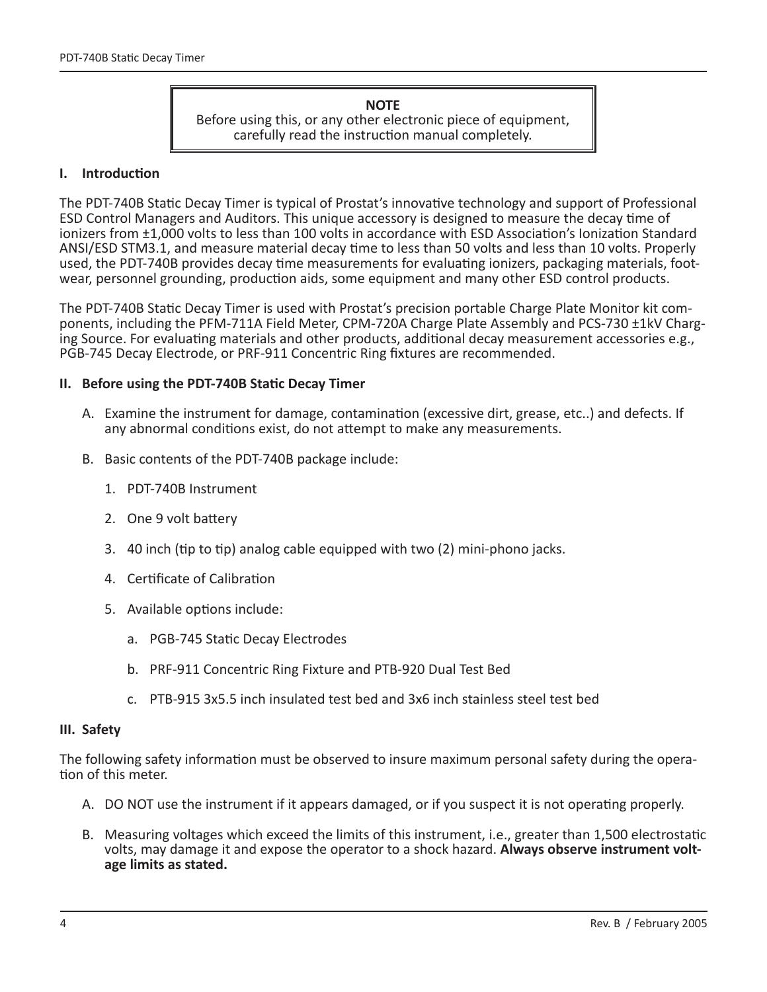#### **NOTE** Before using this, or any other electronic piece of equipment, carefully read the instruction manual completely.

#### **I.** Introduction

The PDT-740B Static Decay Timer is typical of Prostat's innovative technology and support of Professional ESD Control Managers and Auditors. This unique accessory is designed to measure the decay time of ionizers from ±1,000 volts to less than 100 volts in accordance with ESD Association's Ionization Standard ANSI/ESD STM3.1, and measure material decay time to less than 50 volts and less than 10 volts. Properly used, the PDT-740B provides decay time measurements for evaluating ionizers, packaging materials, footwear, personnel grounding, production aids, some equipment and many other ESD control products.

The PDT-740B Static Decay Timer is used with Prostat's precision portable Charge Plate Monitor kit components, including the PFM-711A Field Meter, CPM-720A Charge Plate Assembly and PCS-730 ±1kV Charging Source. For evaluating materials and other products, additional decay measurement accessories e.g., PGB-745 Decay Electrode, or PRF-911 Concentric Ring fixtures are recommended.

#### **II.** Before using the PDT-740B Static Decay Timer

- A. Examine the instrument for damage, contamination (excessive dirt, grease, etc..) and defects. If any abnormal conditions exist, do not attempt to make any measurements.
- B. Basic contents of the PDT-740B package include:
	- 1. PDT-740B Instrument
	- 2. One 9 volt battery
	- 3. 40 inch (tip to tip) analog cable equipped with two (2) mini-phono jacks.
	- 4. Certificate of Calibration
	- 5. Available options include:
		- a. PGB-745 Static Decay Electrodes
		- b. PRF-911 Concentric Ring Fixture and PTB-920 Dual Test Bed
		- c. PTB-915 3x5.5 inch insulated test bed and 3x6 inch stainless steel test bed

#### **III. Safety**

The following safety information must be observed to insure maximum personal safety during the operation of this meter.

- A. DO NOT use the instrument if it appears damaged, or if you suspect it is not operating properly.
- B. Measuring voltages which exceed the limits of this instrument, i.e., greater than 1,500 electrostatic volts, may damage it and expose the operator to a shock hazard. **Always observe instrument voltage limits as stated.**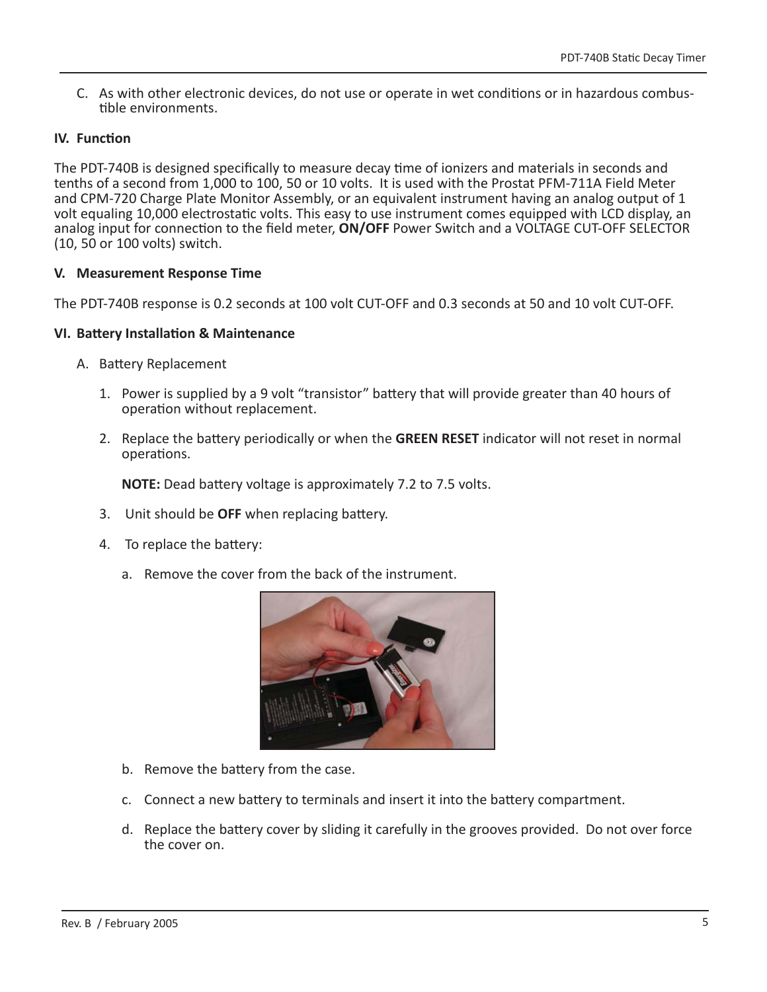C. As with other electronic devices, do not use or operate in wet conditions or in hazardous combustible environments.

# **IV.** Function

The PDT-740B is designed specifically to measure decay time of ionizers and materials in seconds and tenths of a second from 1,000 to 100, 50 or 10 volts. It is used with the Prostat PFM-711A Field Meter and CPM-720 Charge Plate Monitor Assembly, or an equivalent instrument having an analog output of 1 volt equaling 10,000 electrostatic volts. This easy to use instrument comes equipped with LCD display, an analog input for connection to the field meter, **ON/OFF** Power Switch and a VOLTAGE CUT-OFF SELECTOR (10, 50 or 100 volts) switch.

# **V. Measurement Response Time**

The PDT-740B response is 0.2 seconds at 100 volt CUT-OFF and 0.3 seconds at 50 and 10 volt CUT-OFF.

## **VI. BaƩ ery InstallaƟ on & Maintenance**

- A. Battery Replacement
	- 1. Power is supplied by a 9 volt "transistor" battery that will provide greater than 40 hours of operation without replacement.
	- 2. Replace the battery periodically or when the **GREEN RESET** indicator will not reset in normal operations.

**NOTE:** Dead battery voltage is approximately 7.2 to 7.5 volts.

- 3. Unit should be **OFF** when replacing battery.
- 4. To replace the battery:
	- a. Remove the cover from the back of the instrument.



- b. Remove the battery from the case.
- c. Connect a new battery to terminals and insert it into the battery compartment.
- d. Replace the battery cover by sliding it carefully in the grooves provided. Do not over force the cover on.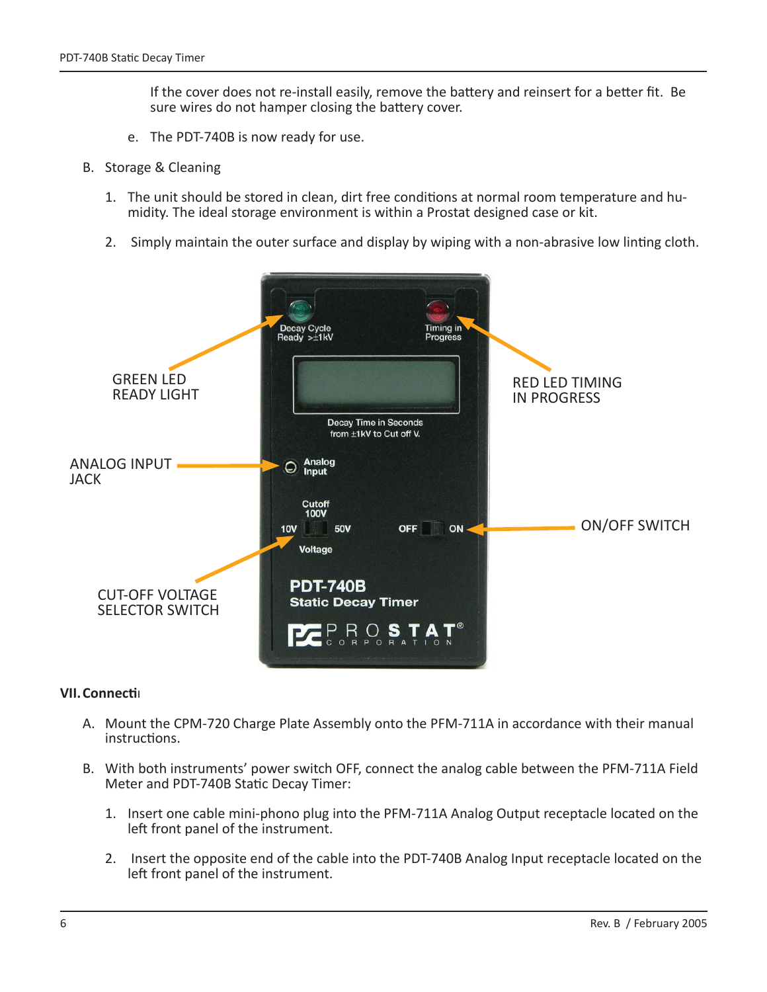If the cover does not re-install easily, remove the battery and reinsert for a better fit. Be sure wires do not hamper closing the battery cover.

- e. The PDT-740B is now ready for use.
- B. Storage & Cleaning
	- 1. The unit should be stored in clean, dirt free conditions at normal room temperature and humidity. The ideal storage environment is within a Prostat designed case or kit.
	- 2. Simply maintain the outer surface and display by wiping with a non-abrasive low linting cloth.



#### **VII. Connection**

- A. Mount the CPM-720 Charge Plate Assembly onto the PFM-711A in accordance with their manual instructions.
- B. With both instruments' power switch OFF, connect the analog cable between the PFM-711A Field Meter and PDT-740B Static Decay Timer:
	- 1. Insert one cable mini-phono plug into the PFM-711A Analog Output receptacle located on the left front panel of the instrument.
	- 2. Insert the opposite end of the cable into the PDT-740B Analog Input receptacle located on the left front panel of the instrument.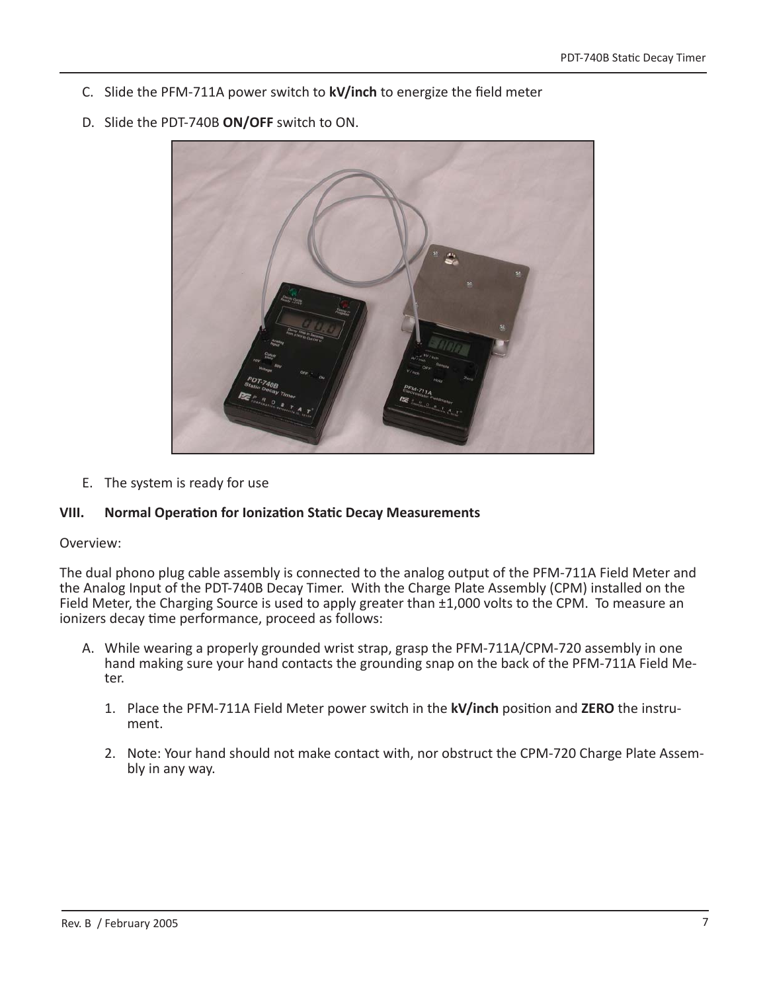- C. Slide the PFM-711A power switch to **kV/inch** to energize the field meter
- D. Slide the PDT-740B **ON/OFF** switch to ON.



E. The system is ready for use

## **VIII. Normal OperaƟ on for IonizaƟ on StaƟ c Decay Measurements**

#### Overview:

The dual phono plug cable assembly is connected to the analog output of the PFM-711A Field Meter and the Analog Input of the PDT-740B Decay Timer. With the Charge Plate Assembly (CPM) installed on the Field Meter, the Charging Source is used to apply greater than ±1,000 volts to the CPM. To measure an ionizers decay time performance, proceed as follows:

- A. While wearing a properly grounded wrist strap, grasp the PFM-711A/CPM-720 assembly in one hand making sure your hand contacts the grounding snap on the back of the PFM-711A Field Meter.
	- 1. Place the PFM-711A Field Meter power switch in the **kV/inch** position and **ZERO** the instrument.
	- 2. Note: Your hand should not make contact with, nor obstruct the CPM-720 Charge Plate Assembly in any way.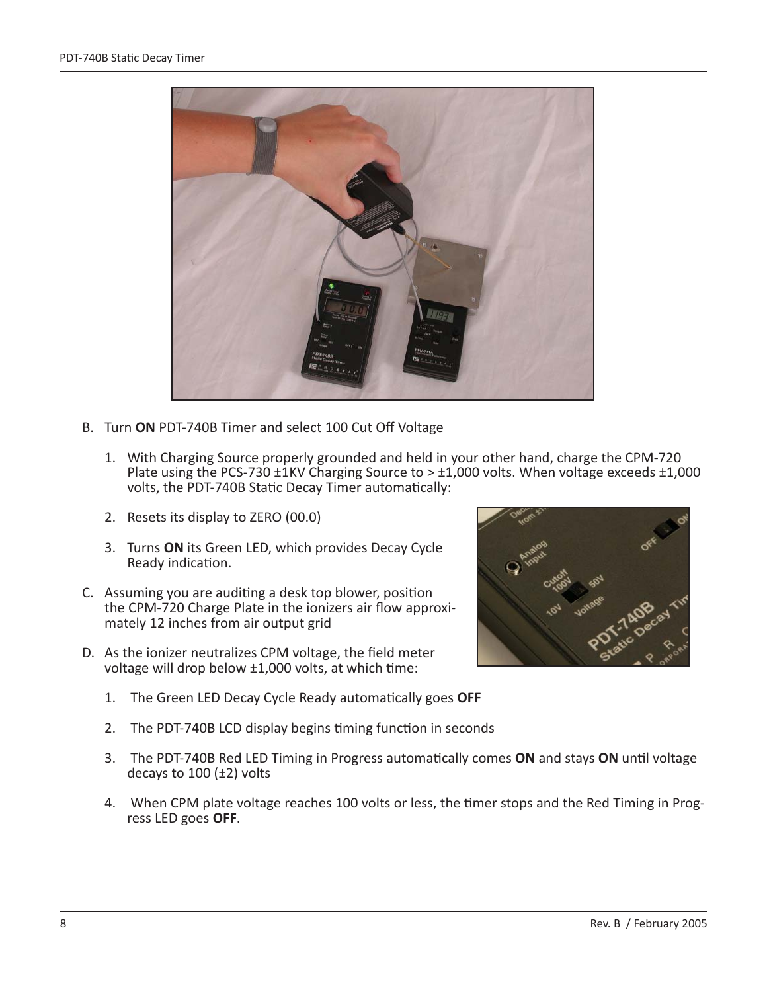

- B. Turn **ON** PDT-740B Timer and select 100 Cut Off Voltage
	- 1. With Charging Source properly grounded and held in your other hand, charge the CPM-720 Plate using the PCS-730  $\pm$ 1KV Charging Source to  $> \pm$ 1,000 volts. When voltage exceeds  $\pm$ 1,000 volts, the PDT-740B Static Decay Timer automatically:
	- 2. Resets its display to ZERO (00.0)
	- 3. Turns **ON** its Green LED, which provides Decay Cycle Ready indication.
- C. Assuming you are auditing a desk top blower, position the CPM-720 Charge Plate in the ionizers air flow approximately 12 inches from air output grid
- D. As the ionizer neutralizes CPM voltage, the field meter voltage will drop below  $\pm 1,000$  volts, at which time:
	- 1. The Green LED Decay Cycle Ready automatically goes OFF
	- 2. The PDT-740B LCD display begins timing function in seconds
	- 3. The PDT-740B Red LED Timing in Progress automatically comes ON and stays ON until voltage decays to  $100$  ( $\pm$ 2) volts
	- 4. When CPM plate voltage reaches 100 volts or less, the timer stops and the Red Timing in Progress LED goes **OFF**.

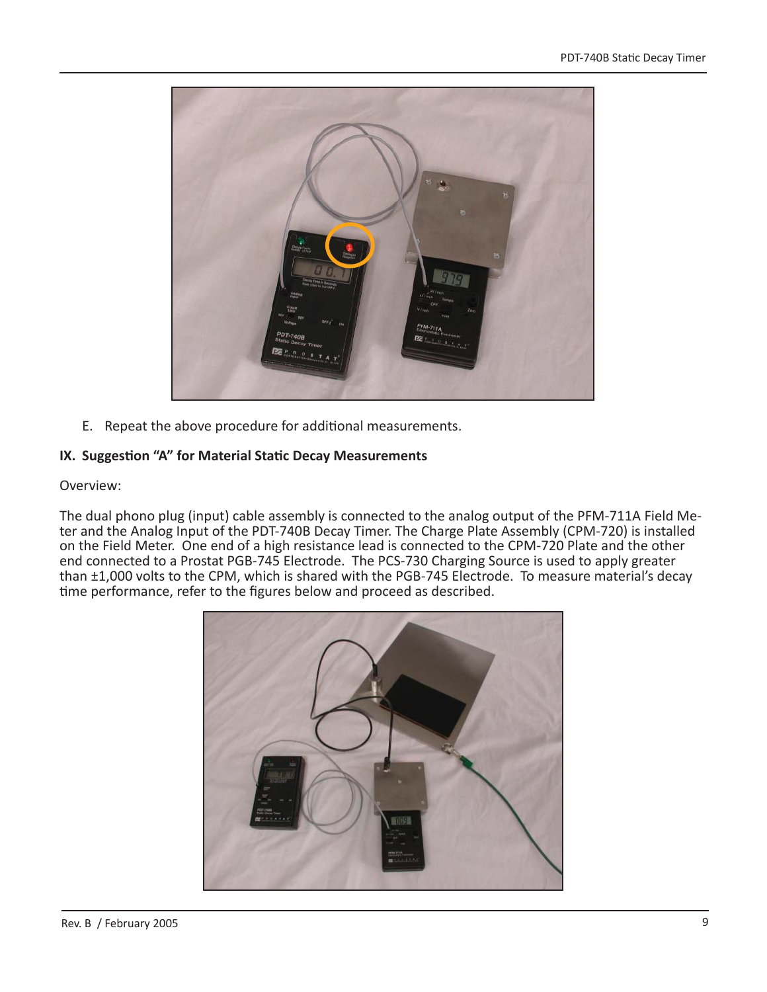

E. Repeat the above procedure for additional measurements.

# **IX. Suggestion "A" for Material Static Decay Measurements**

## Overview:

The dual phono plug (input) cable assembly is connected to the analog output of the PFM-711A Field Meter and the Analog Input of the PDT-740B Decay Timer. The Charge Plate Assembly (CPM-720) is installed on the Field Meter. One end of a high resistance lead is connected to the CPM-720 Plate and the other end connected to a Prostat PGB-745 Electrode. The PCS-730 Charging Source is used to apply greater than ±1,000 volts to the CPM, which is shared with the PGB-745 Electrode. To measure material's decay time performance, refer to the figures below and proceed as described.

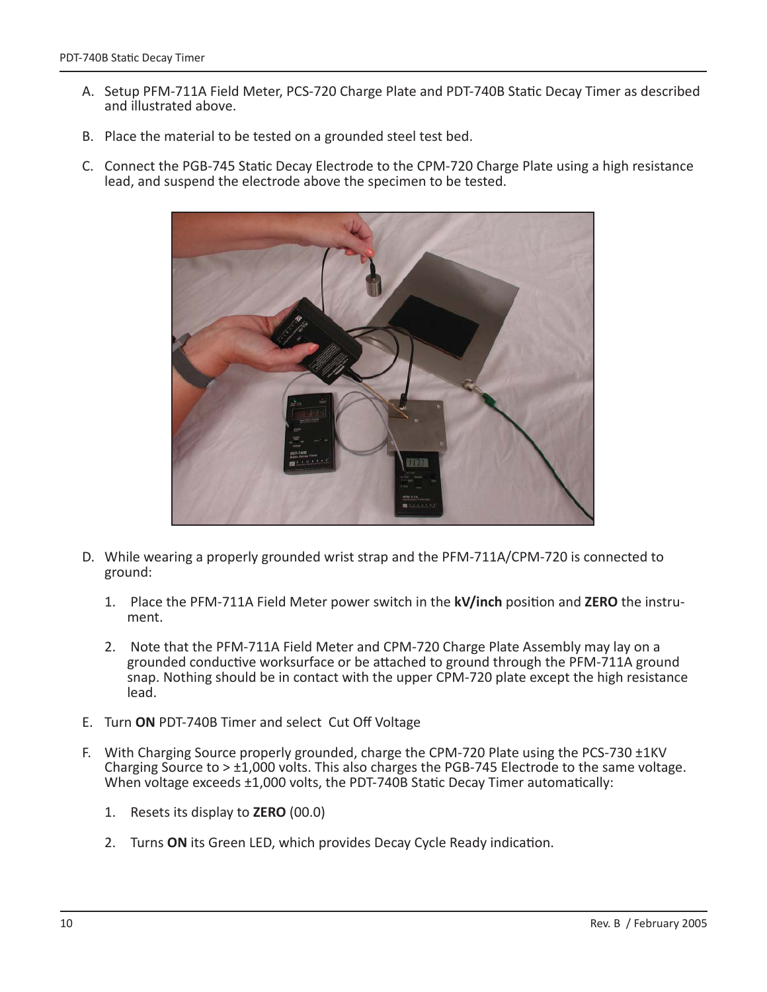- A. Setup PFM-711A Field Meter, PCS-720 Charge Plate and PDT-740B Static Decay Timer as described and illustrated above.
- B. Place the material to be tested on a grounded steel test bed.
- C. Connect the PGB-745 Static Decay Electrode to the CPM-720 Charge Plate using a high resistance lead, and suspend the electrode above the specimen to be tested.



- D. While wearing a properly grounded wrist strap and the PFM-711A/CPM-720 is connected to ground:
	- 1. Place the PFM-711A Field Meter power switch in the **kV/inch** position and **ZERO** the instrument.
	- 2. Note that the PFM-711A Field Meter and CPM-720 Charge Plate Assembly may lay on a grounded conductive worksurface or be attached to ground through the PFM-711A ground snap. Nothing should be in contact with the upper CPM-720 plate except the high resistance lead.
- E. Turn **ON** PDT-740B Timer and select Cut Off Voltage
- F. With Charging Source properly grounded, charge the CPM-720 Plate using the PCS-730 ±1KV Charging Source to  $> \pm 1,000$  volts. This also charges the PGB-745 Electrode to the same voltage. When voltage exceeds  $\pm 1,000$  volts, the PDT-740B Static Decay Timer automatically:
	- 1. Resets its display to **ZERO** (00.0)
	- 2. Turns ON its Green LED, which provides Decay Cycle Ready indication.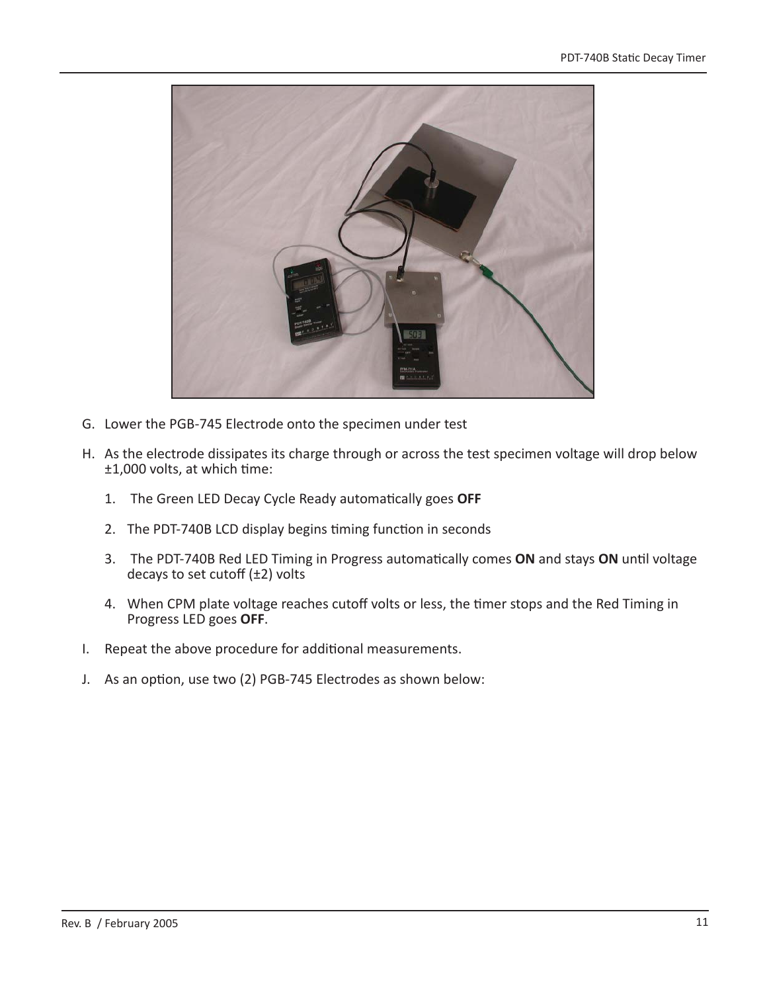

- G. Lower the PGB-745 Electrode onto the specimen under test
- H. As the electrode dissipates its charge through or across the test specimen voltage will drop below ±1,000 volts, at which time:
	- 1. The Green LED Decay Cycle Ready automatically goes OFF
	- 2. The PDT-740B LCD display begins timing function in seconds
	- 3. The PDT-740B Red LED Timing in Progress automatically comes ON and stays ON until voltage decays to set cutoff  $(\pm 2)$  volts
	- 4. When CPM plate voltage reaches cutoff volts or less, the timer stops and the Red Timing in Progress LED goes **OFF**.
- I. Repeat the above procedure for additional measurements.
- J. As an option, use two (2) PGB-745 Electrodes as shown below: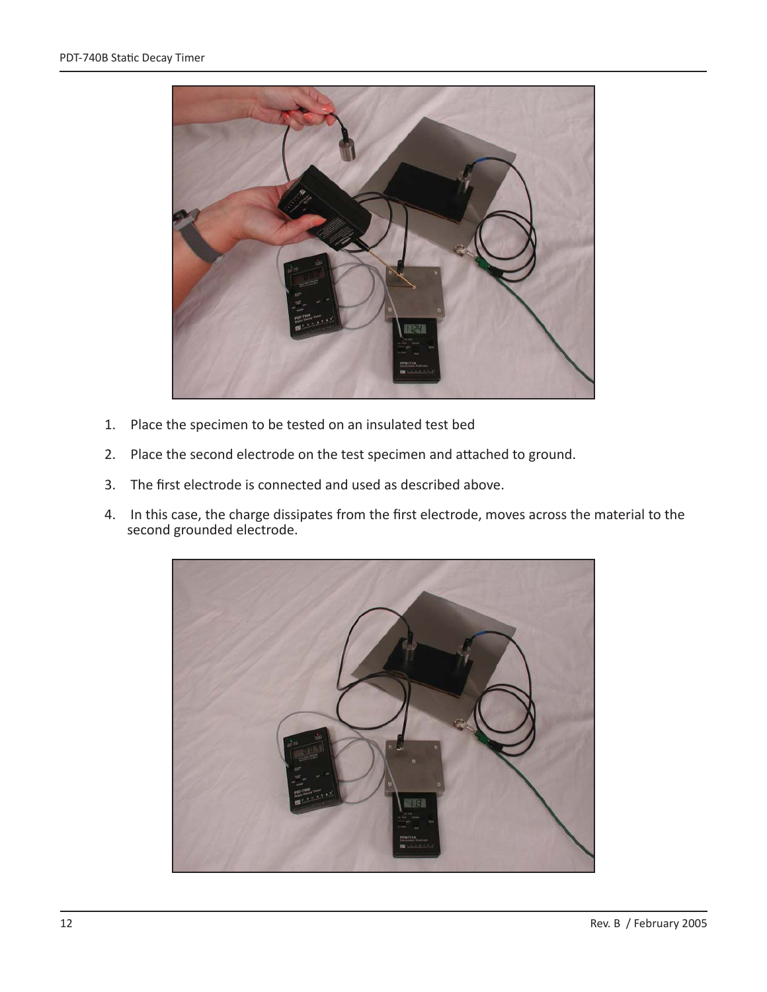

- 1. Place the specimen to be tested on an insulated test bed
- 2. Place the second electrode on the test specimen and attached to ground.
- 3. The first electrode is connected and used as described above.
- 4. In this case, the charge dissipates from the first electrode, moves across the material to the second grounded electrode.

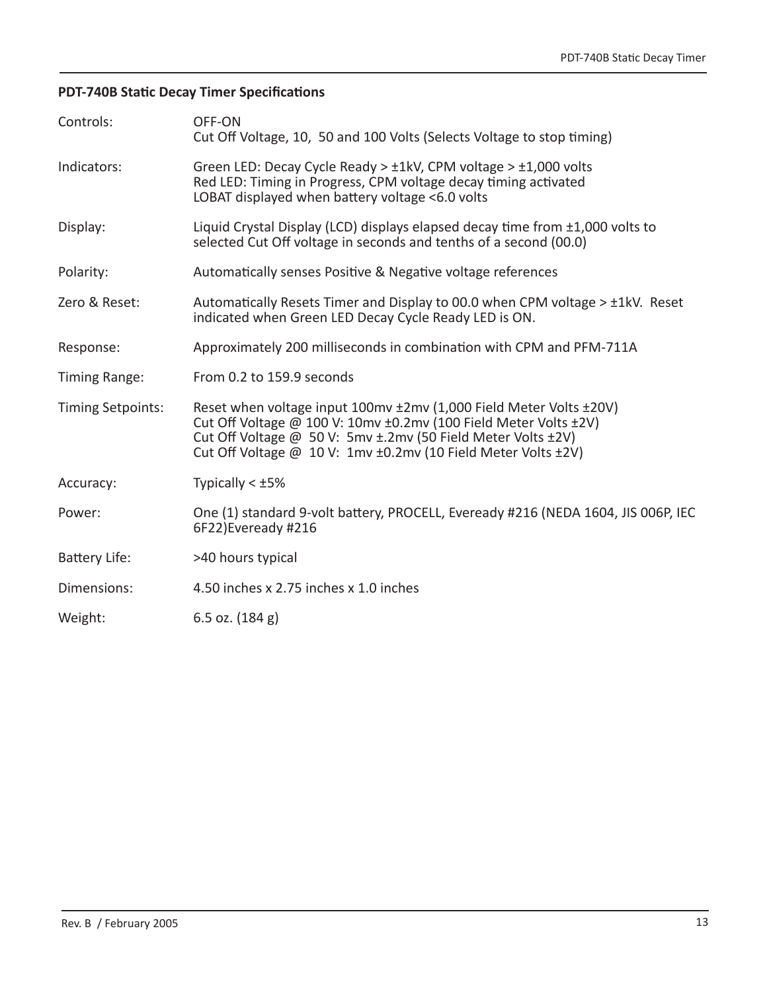# **PDT-740B Static Decay Timer Specifications**

| Controls:            | OFF-ON<br>Cut Off Voltage, 10, 50 and 100 Volts (Selects Voltage to stop timing)                                                                                                                                                                                        |  |  |
|----------------------|-------------------------------------------------------------------------------------------------------------------------------------------------------------------------------------------------------------------------------------------------------------------------|--|--|
| Indicators:          | Green LED: Decay Cycle Ready > $\pm$ 1kV, CPM voltage > $\pm$ 1,000 volts<br>Red LED: Timing in Progress, CPM voltage decay timing activated<br>LOBAT displayed when battery voltage <6.0 volts                                                                         |  |  |
| Display:             | Liquid Crystal Display (LCD) displays elapsed decay time from $\pm 1,000$ volts to<br>selected Cut Off voltage in seconds and tenths of a second (00.0)                                                                                                                 |  |  |
| Polarity:            | Automatically senses Positive & Negative voltage references                                                                                                                                                                                                             |  |  |
| Zero & Reset:        | Automatically Resets Timer and Display to 00.0 when CPM voltage > ±1kV. Reset<br>indicated when Green LED Decay Cycle Ready LED is ON.                                                                                                                                  |  |  |
| Response:            | Approximately 200 milliseconds in combination with CPM and PFM-711A                                                                                                                                                                                                     |  |  |
| Timing Range:        | From 0.2 to 159.9 seconds                                                                                                                                                                                                                                               |  |  |
| Timing Setpoints:    | Reset when voltage input 100mv ±2mv (1,000 Field Meter Volts ±20V)<br>Cut Off Voltage @ 100 V: 10mv ±0.2mv (100 Field Meter Volts ±2V)<br>Cut Off Voltage @ 50 V: 5mv ±.2mv (50 Field Meter Volts ±2V)<br>Cut Off Voltage @ 10 V: 1mv ±0.2mv (10 Field Meter Volts ±2V) |  |  |
| Accuracy:            | Typically $< \pm 5\%$                                                                                                                                                                                                                                                   |  |  |
| Power:               | One (1) standard 9-volt battery, PROCELL, Eveready #216 (NEDA 1604, JIS 006P, IEC<br>6F22)Eveready #216                                                                                                                                                                 |  |  |
| <b>Battery Life:</b> | >40 hours typical                                                                                                                                                                                                                                                       |  |  |
| Dimensions:          | 4.50 inches x 2.75 inches x 1.0 inches                                                                                                                                                                                                                                  |  |  |
| Weight:              | 6.5 oz. $(184 g)$                                                                                                                                                                                                                                                       |  |  |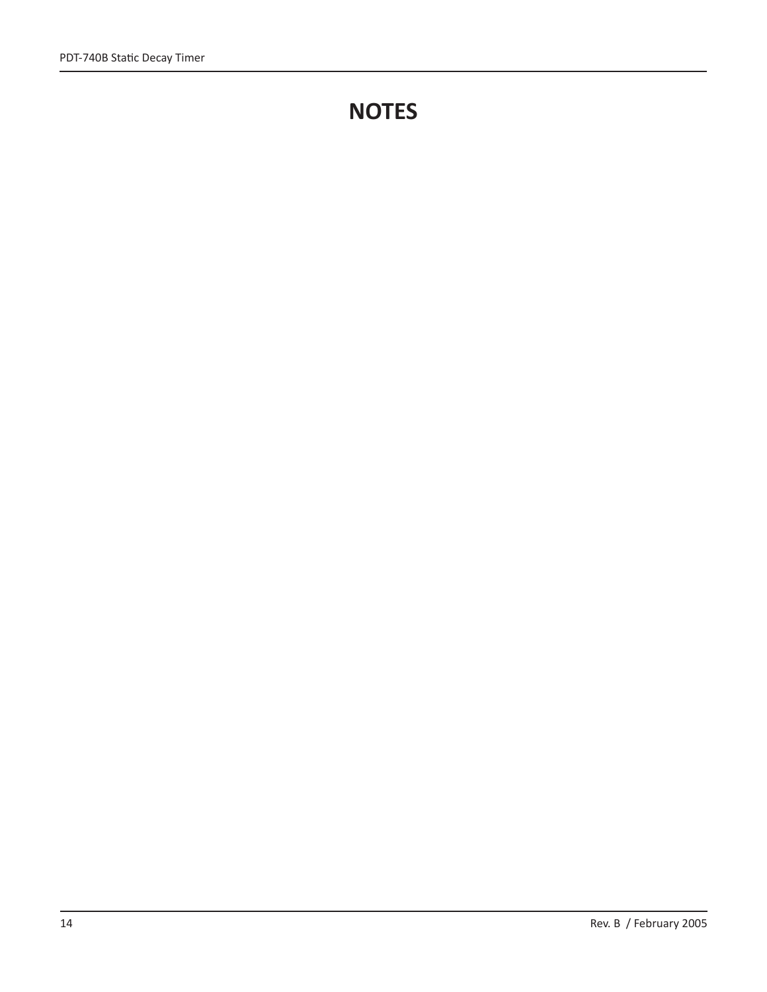# **NOTES**